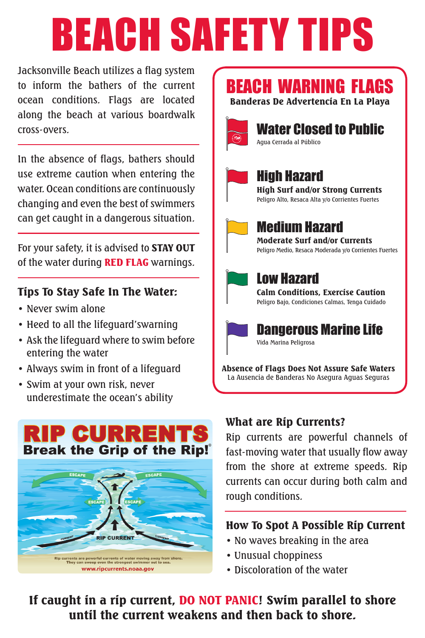# BEACH SAFETY TIPS

Jacksonville Beach utilizes a flag system to inform the bathers of the current ocean conditions. Flags are located along the beach at various boardwalk cross-overs.

In the absence of flags, bathers should use extreme caution when entering the water. Ocean conditions are continuously changing and even the best of swimmers can get caught in a dangerous situation.

For your safety, it is advised to **STAY OUT** of the water during RED FLAG warnings.

### Tips To Stay Safe In The Water:

- Never swim alone
- Heed to all the lifeguard'swarning
- • Ask the lifeguard where to swim before entering the water
- • Always swim in front of a lifeguard
- • Swim at your own risk, never underestimate the ocean's ability



### BEACH WARNING FLAGS Banderas De Advertencia En La Playa



# Water Closed to Public

Agua Cerrada al Público



## High Hazard

High Surf and/or Strong Currents Peligro Alto, Resaca Alta y/o Corrientes Fuertes



#### Medium Hazard Moderate Surf and/or Currents

Peligro Medio, Resaca Moderada y/o Corrientes Fuertes



## Low Hazard

Calm Conditions, Exercise Caution Peligro Bajo, Condiciones Calmas, Tenga Cuidado



Absence of Flags Does Not Assure Safe Waters La Ausencia de Banderas No Asegura Aguas Seguras

### What are Rip Currents?

Rip currents are powerful channels of fast-moving water that usually flow away from the shore at extreme speeds. Rip currents can occur during both calm and rough conditions.

### How To Spot A Possible Rip Current

- No waves breaking in the area
- Unusual choppiness
- Discoloration of the water

If caught in a rip current, DO NOT PANIC! Swim parallel to shore until the current weakens and then back to shore.